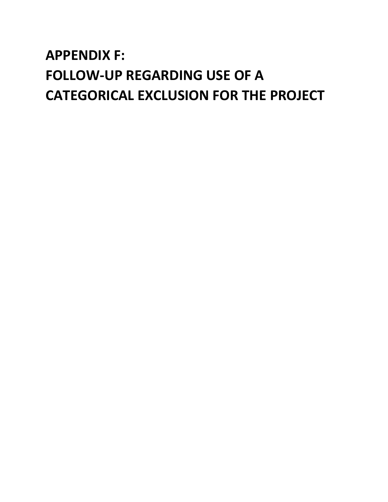# **APPENDIX F: FOLLOW-UP REGARDING USE OF A CATEGORICAL EXCLUSION FOR THE PROJECT**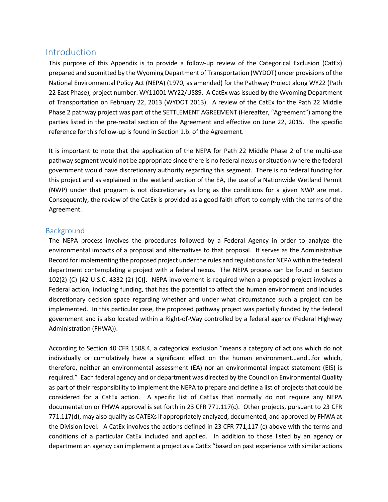# Introduction

This purpose of this Appendix is to provide a follow-up review of the Categorical Exclusion (CatEx) prepared and submitted by the Wyoming Department of Transportation (WYDOT) under provisions of the National Environmental Policy Act (NEPA) (1970, as amended) for the Pathway Project along WY22 (Path 22 East Phase), project number: WY11001 WY22/US89. A CatEx was issued by the Wyoming Department of Transportation on February 22, 2013 (WYDOT 2013). A review of the CatEx for the Path 22 Middle Phase 2 pathway project was part of the SETTLEMENT AGREEMENT (Hereafter, "Agreement") among the parties listed in the pre-recital section of the Agreement and effective on June 22, 2015. The specific reference for this follow-up is found in Section 1.b. of the Agreement.

It is important to note that the application of the NEPA for Path 22 Middle Phase 2 of the multi-use pathway segment would not be appropriate since there is no federal nexus or situation where the federal government would have discretionary authority regarding this segment. There is no federal funding for this project and as explained in the wetland section of the EA, the use of a Nationwide Wetland Permit (NWP) under that program is not discretionary as long as the conditions for a given NWP are met. Consequently, the review of the CatEx is provided as a good faith effort to comply with the terms of the Agreement.

## Background

The NEPA process involves the procedures followed by a Federal Agency in order to analyze the environmental impacts of a proposal and alternatives to that proposal. It serves as the Administrative Record for implementing the proposed project under the rules and regulations for NEPA within the federal department contemplating a project with a federal nexus. The NEPA process can be found in Section 102(2) (C) [42 U.S.C. 4332 (2) (C)]. NEPA involvement is required when a proposed project involves a Federal action, including funding, that has the potential to affect the human environment and includes discretionary decision space regarding whether and under what circumstance such a project can be implemented. In this particular case, the proposed pathway project was partially funded by the federal government and is also located within a Right-of-Way controlled by a federal agency (Federal Highway Administration (FHWA)).

According to Section 40 CFR 1508.4, a categorical exclusion "means a category of actions which do not individually or cumulatively have a significant effect on the human environment…and…for which, therefore, neither an environmental assessment (EA) nor an environmental impact statement (EIS) is required." Each federal agency and or department was directed by the Council on Environmental Quality as part of their responsibility to implement the NEPA to prepare and define a list of projects that could be considered for a CatEx action. A specific list of CatExs that normally do not require any NEPA documentation or FHWA approval is set forth in 23 CFR 771.117(c). Other projects, pursuant to 23 CFR 771.117(d), may also qualify as CATEXs if appropriately analyzed, documented, and approved by FHWA at the Division level. A CatEx involves the actions defined in 23 CFR 771,117 (c) above with the terms and conditions of a particular CatEx included and applied. In addition to those listed by an agency or department an agency can implement a project as a CatEx "based on past experience with similar actions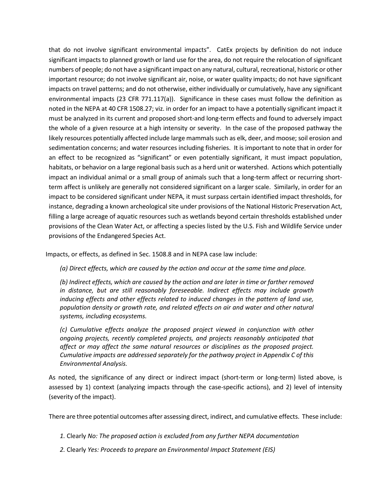that do not involve significant environmental impacts". CatEx projects by definition do not induce significant impacts to planned growth or land use for the area, do not require the relocation of significant numbers of people; do not have a significant impact on any natural, cultural, recreational, historic or other important resource; do not involve significant air, noise, or water quality impacts; do not have significant impacts on travel patterns; and do not otherwise, either individually or cumulatively, have any significant environmental impacts (23 CFR 771.117(a)). Significance in these cases must follow the definition as noted in the NEPA at 40 CFR 1508.27; viz. in order for an impact to have a potentially significant impact it must be analyzed in its current and proposed short-and long-term effects and found to adversely impact the whole of a given resource at a high intensity or severity. In the case of the proposed pathway the likely resources potentially affected include large mammals such as elk, deer, and moose; soil erosion and sedimentation concerns; and water resources including fisheries. It is important to note that in order for an effect to be recognized as "significant" or even potentially significant, it must impact population, habitats, or behavior on a large regional basis such as a herd unit or watershed. Actions which potentially impact an individual animal or a small group of animals such that a long-term affect or recurring shortterm affect is unlikely are generally not considered significant on a larger scale. Similarly, in order for an impact to be considered significant under NEPA, it must surpass certain identified impact thresholds, for instance, degrading a known archeological site under provisions of the National Historic Preservation Act, filling a large acreage of aquatic resources such as wetlands beyond certain thresholds established under provisions of the Clean Water Act, or affecting a species listed by the U.S. Fish and Wildlife Service under provisions of the Endangered Species Act.

Impacts, or effects, as defined in Sec. 1508.8 and in NEPA case law include:

*(a) Direct effects, which are caused by the action and occur at the same time and place.*

*(b) Indirect effects, which are caused by the action and are later in time or farther removed in distance, but are still reasonably foreseeable. Indirect effects may include growth inducing effects and other effects related to induced changes in the pattern of land use, population density or growth rate, and related effects on air and water and other natural systems, including ecosystems.*

*(c) Cumulative effects analyze the proposed project viewed in conjunction with other ongoing projects, recently completed projects, and projects reasonably anticipated that affect or may affect the same natural resources or disciplines as the proposed project. Cumulative impacts are addressed separately for the pathway project in Appendix C of this Environmental Analysis.*

As noted, the significance of any direct or indirect impact (short-term or long-term) listed above, is assessed by 1) context (analyzing impacts through the case-specific actions), and 2) level of intensity (severity of the impact).

There are three potential outcomes after assessing direct, indirect, and cumulative effects. These include:

*1.* Clearly *No: The proposed action is excluded from any further NEPA documentation*

*2.* Clearly *Yes: Proceeds to prepare an Environmental Impact Statement (EIS)*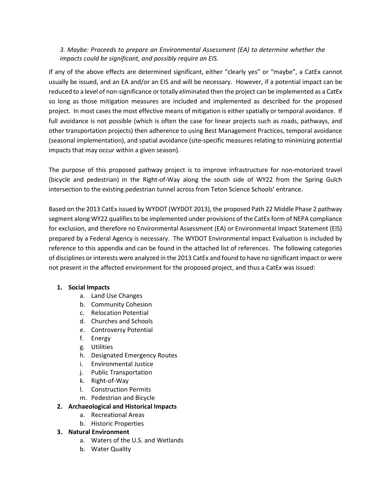## *3. Maybe: Proceeds to prepare an Environmental Assessment (EA) to determine whether the impacts could be significant, and possibly require an EIS.*

If any of the above effects are determined significant, either "clearly yes" or "maybe", a CatEx cannot usually be issued, and an EA and/or an EIS and will be necessary. However, if a potential impact can be reduced to a level of non-significance or totally eliminated then the project can be implemented as a CatEx so long as those mitigation measures are included and implemented as described for the proposed project. In most cases the most effective means of mitigation is either spatially or temporal avoidance. If full avoidance is not possible (which is often the case for linear projects such as roads, pathways, and other transportation projects) then adherence to using Best Management Practices, temporal avoidance (seasonal implementation), and spatial avoidance (site-specific measures relating to minimizing potential impacts that may occur within a given season).

The purpose of this proposed pathway project is to improve infrastructure for non-motorized travel (bicycle and pedestrian) in the Right-of-Way along the south side of WY22 from the Spring Gulch intersection to the existing pedestrian tunnel across from Teton Science Schools' entrance.

Based on the 2013 CatEx issued by WYDOT (WYDOT 2013), the proposed Path 22 Middle Phase 2 pathway segment along WY22 qualifies to be implemented under provisions of the CatEx form of NEPA compliance for exclusion, and therefore no Environmental Assessment (EA) or Environmental Impact Statement (EIS) prepared by a Federal Agency is necessary. The WYDOT Environmental Impact Evaluation is included by reference to this appendix and can be found in the attached list of references. The following categories of disciplines or interests were analyzed in the 2013 CatEx and found to have no significant impact or were not present in the affected environment for the proposed project, and thus a CatEx was issued:

#### **1. Social Impacts**

- a. Land Use Changes
- b. Community Cohesion
- c. Relocation Potential
- d. Churches and Schools
- e. Controversy Potential
- f. Energy
- g. Utilities
- h. Designated Emergency Routes
- i. Environmental Justice
- j. Public Transportation
- k. Right-of-Way
- l. Construction Permits
- m. Pedestrian and Bicycle

#### **2. Archaeological and Historical Impacts**

- a. Recreational Areas
- b. Historic Properties

#### **3. Natural Environment**

- a. Waters of the U.S. and Wetlands
- b. Water Quality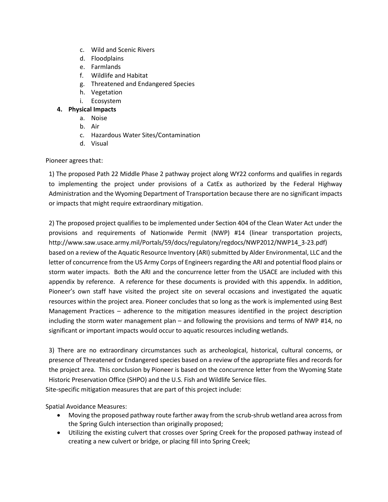- c. Wild and Scenic Rivers
- d. Floodplains
- e. Farmlands
- f. Wildlife and Habitat
- g. Threatened and Endangered Species
- h. Vegetation
- i. Ecosystem

## **4. Physical Impacts**

- a. Noise
- b. Air
- c. Hazardous Water Sites/Contamination
- d. Visual

## Pioneer agrees that:

1) The proposed Path 22 Middle Phase 2 pathway project along WY22 conforms and qualifies in regards to implementing the project under provisions of a CatEx as authorized by the Federal Highway Administration and the Wyoming Department of Transportation because there are no significant impacts or impacts that might require extraordinary mitigation.

2) The proposed project qualifies to be implemented under Section 404 of the Clean Water Act under the provisions and requirements of Nationwide Permit (NWP) #14 (linear transportation projects, http://www.saw.usace.army.mil/Portals/59/docs/regulatory/regdocs/NWP2012/NWP14\_3-23.pdf) based on a review of the Aquatic Resource Inventory (ARI) submitted by Alder Environmental, LLC and the letter of concurrence from the US Army Corps of Engineers regarding the ARI and potential flood plains or storm water impacts. Both the ARI and the concurrence letter from the USACE are included with this appendix by reference. A reference for these documents is provided with this appendix. In addition, Pioneer's own staff have visited the project site on several occasions and investigated the aquatic resources within the project area. Pioneer concludes that so long as the work is implemented using Best Management Practices – adherence to the mitigation measures identified in the project description including the storm water management plan – and following the provisions and terms of NWP #14, no significant or important impacts would occur to aquatic resources including wetlands.

3) There are no extraordinary circumstances such as archeological, historical, cultural concerns, or presence of Threatened or Endangered species based on a review of the appropriate files and records for the project area. This conclusion by Pioneer is based on the concurrence letter from the Wyoming State Historic Preservation Office (SHPO) and the U.S. Fish and Wildlife Service files.

Site-specific mitigation measures that are part of this project include:

Spatial Avoidance Measures:

- Moving the proposed pathway route farther away from the scrub-shrub wetland area across from the Spring Gulch intersection than originally proposed;
- Utilizing the existing culvert that crosses over Spring Creek for the proposed pathway instead of creating a new culvert or bridge, or placing fill into Spring Creek;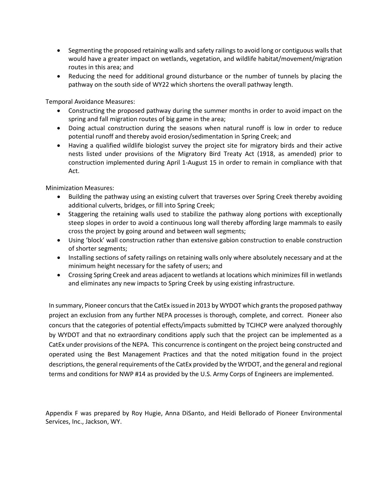- Segmenting the proposed retaining walls and safety railings to avoid long or contiguous walls that would have a greater impact on wetlands, vegetation, and wildlife habitat/movement/migration routes in this area; and
- Reducing the need for additional ground disturbance or the number of tunnels by placing the pathway on the south side of WY22 which shortens the overall pathway length.

Temporal Avoidance Measures:

- Constructing the proposed pathway during the summer months in order to avoid impact on the spring and fall migration routes of big game in the area;
- Doing actual construction during the seasons when natural runoff is low in order to reduce potential runoff and thereby avoid erosion/sedimentation in Spring Creek; and
- Having a qualified wildlife biologist survey the project site for migratory birds and their active nests listed under provisions of the Migratory Bird Treaty Act (1918, as amended) prior to construction implemented during April 1-August 15 in order to remain in compliance with that Act.

Minimization Measures:

- Building the pathway using an existing culvert that traverses over Spring Creek thereby avoiding additional culverts, bridges, or fill into Spring Creek;
- Staggering the retaining walls used to stabilize the pathway along portions with exceptionally steep slopes in order to avoid a continuous long wall thereby affording large mammals to easily cross the project by going around and between wall segments;
- Using 'block' wall construction rather than extensive gabion construction to enable construction of shorter segments;
- Installing sections of safety railings on retaining walls only where absolutely necessary and at the minimum height necessary for the safety of users; and
- Crossing Spring Creek and areas adjacent to wetlands at locations which minimizes fill in wetlands and eliminates any new impacts to Spring Creek by using existing infrastructure.

In summary, Pioneer concurs that the CatEx issued in 2013 by WYDOT which grants the proposed pathway project an exclusion from any further NEPA processes is thorough, complete, and correct. Pioneer also concurs that the categories of potential effects/impacts submitted by TCJHCP were analyzed thoroughly by WYDOT and that no extraordinary conditions apply such that the project can be implemented as a CatEx under provisions of the NEPA. This concurrence is contingent on the project being constructed and operated using the Best Management Practices and that the noted mitigation found in the project descriptions, the general requirements of the CatEx provided by the WYDOT, and the general and regional terms and conditions for NWP #14 as provided by the U.S. Army Corps of Engineers are implemented.

Appendix F was prepared by Roy Hugie, Anna DiSanto, and Heidi Bellorado of Pioneer Environmental Services, Inc., Jackson, WY.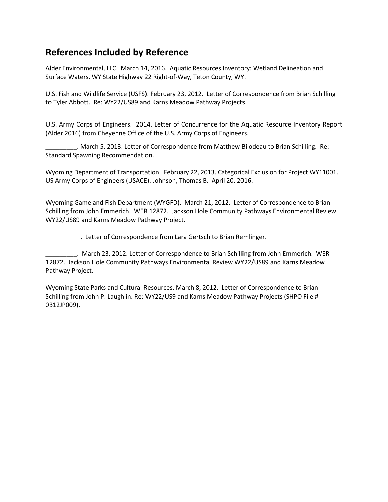# **References Included by Reference**

Alder Environmental, LLC. March 14, 2016. Aquatic Resources Inventory: Wetland Delineation and Surface Waters, WY State Highway 22 Right-of-Way, Teton County, WY.

U.S. Fish and Wildlife Service (USFS). February 23, 2012. Letter of Correspondence from Brian Schilling to Tyler Abbott. Re: WY22/US89 and Karns Meadow Pathway Projects.

U.S. Army Corps of Engineers. 2014. Letter of Concurrence for the Aquatic Resource Inventory Report (Alder 2016) from Cheyenne Office of the U.S. Army Corps of Engineers.

\_\_\_\_\_\_\_\_\_. March 5, 2013. Letter of Correspondence from Matthew Bilodeau to Brian Schilling. Re: Standard Spawning Recommendation.

Wyoming Department of Transportation. February 22, 2013. Categorical Exclusion for Project WY11001. US Army Corps of Engineers (USACE). Johnson, Thomas B. April 20, 2016.

Wyoming Game and Fish Department (WYGFD). March 21, 2012. Letter of Correspondence to Brian Schilling from John Emmerich. WER 12872. Jackson Hole Community Pathways Environmental Review WY22/US89 and Karns Meadow Pathway Project.

**Letter of Correspondence from Lara Gertsch to Brian Remlinger.** 

\_\_\_\_\_\_\_\_\_. March 23, 2012. Letter of Correspondence to Brian Schilling from John Emmerich. WER 12872. Jackson Hole Community Pathways Environmental Review WY22/US89 and Karns Meadow Pathway Project.

Wyoming State Parks and Cultural Resources. March 8, 2012. Letter of Correspondence to Brian Schilling from John P. Laughlin. Re: WY22/US9 and Karns Meadow Pathway Projects (SHPO File # 0312JP009).